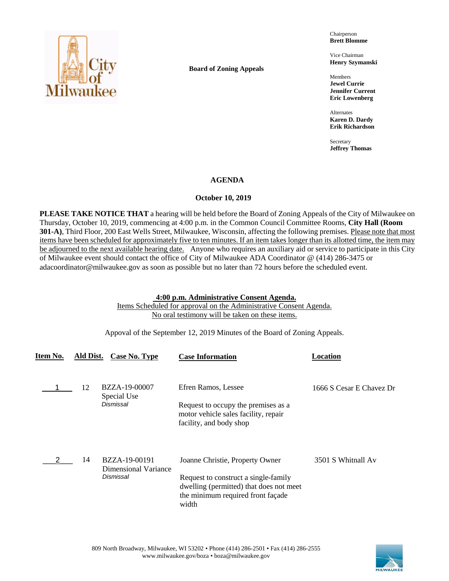

**Board of Zoning Appeals**

Chairperson **Brett Blomme**

Vice Chairman **Henry Szymanski**

Members **Jewel Currie Jennifer Current Eric Lowenberg**

Alternates **Karen D. Dardy Erik Richardson**

Secretary **Jeffrey Thomas**

## **AGENDA**

## **October 10, 2019**

**PLEASE TAKE NOTICE THAT** a hearing will be held before the Board of Zoning Appeals of the City of Milwaukee on Thursday, October 10, 2019, commencing at 4:00 p.m. in the Common Council Committee Rooms, **City Hall (Room 301-A)**, Third Floor, 200 East Wells Street, Milwaukee, Wisconsin, affecting the following premises. Please note that most items have been scheduled for approximately five to ten minutes. If an item takes longer than its allotted time, the item may be adjourned to the next available hearing date. Anyone who requires an auxiliary aid or service to participate in this City of Milwaukee event should contact the office of City of Milwaukee ADA Coordinator @ (414) 286-3475 or adacoordinator@milwaukee.gov as soon as possible but no later than 72 hours before the scheduled event.

### **4:00 p.m. Administrative Consent Agenda.**

Items Scheduled for approval on the Administrative Consent Agenda. No oral testimony will be taken on these items.

Appoval of the September 12, 2019 Minutes of the Board of Zoning Appeals.

| Item No. | Ald Dist. | Case No. Type                                      | <b>Case Information</b>                                                                                                                                          | Location                 |
|----------|-----------|----------------------------------------------------|------------------------------------------------------------------------------------------------------------------------------------------------------------------|--------------------------|
|          | 12        | BZZA-19-00007<br>Special Use<br>Dismissal          | Efren Ramos, Lessee<br>Request to occupy the premises as a<br>motor vehicle sales facility, repair<br>facility, and body shop                                    | 1666 S Cesar E Chavez Dr |
|          | 14        | BZZA-19-00191<br>Dimensional Variance<br>Dismissal | Joanne Christie, Property Owner<br>Request to construct a single-family<br>dwelling (permitted) that does not meet<br>the minimum required front façade<br>width | 3501 S Whitnall Av       |

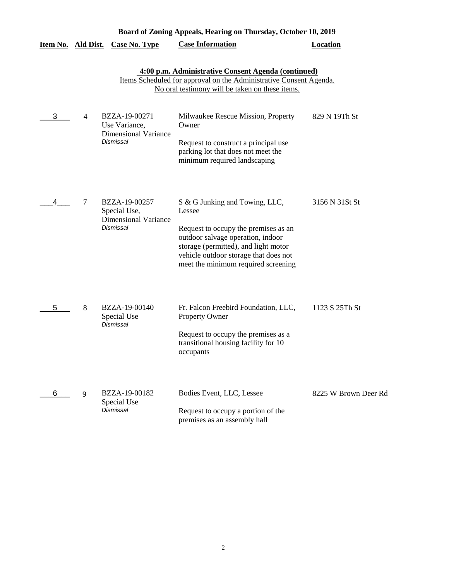| Board of Zoning Appeals, Hearing on Thursday, October 10, 2019 |                |                                                                            |                                                                                                                                                                                                                                               |                      |
|----------------------------------------------------------------|----------------|----------------------------------------------------------------------------|-----------------------------------------------------------------------------------------------------------------------------------------------------------------------------------------------------------------------------------------------|----------------------|
| <u>Item No. Ald Dist.</u>                                      |                | <b>Case No. Type</b>                                                       | <b>Case Information</b>                                                                                                                                                                                                                       | <b>Location</b>      |
|                                                                |                |                                                                            | 4:00 p.m. Administrative Consent Agenda (continued)<br>Items Scheduled for approval on the Administrative Consent Agenda.<br>No oral testimony will be taken on these items.                                                                  |                      |
| 3                                                              | $\overline{4}$ | BZZA-19-00271<br>Use Variance,<br><b>Dimensional Variance</b><br>Dismissal | Milwaukee Rescue Mission, Property<br>Owner<br>Request to construct a principal use<br>parking lot that does not meet the<br>minimum required landscaping                                                                                     | 829 N 19Th St        |
| 4                                                              | 7              | BZZA-19-00257<br>Special Use,<br><b>Dimensional Variance</b><br>Dismissal  | S & G Junking and Towing, LLC,<br>Lessee<br>Request to occupy the premises as an<br>outdoor salvage operation, indoor<br>storage (permitted), and light motor<br>vehicle outdoor storage that does not<br>meet the minimum required screening | 3156 N 31St St       |
| 5                                                              | 8              | BZZA-19-00140<br>Special Use<br>Dismissal                                  | Fr. Falcon Freebird Foundation, LLC,<br>Property Owner<br>Request to occupy the premises as a<br>transitional housing facility for 10<br>occupants                                                                                            | 1123 S 25Th St       |
| 6                                                              | 9              | BZZA-19-00182<br>Special Use<br>Dismissal                                  | Bodies Event, LLC, Lessee<br>Request to occupy a portion of the<br>premises as an assembly hall                                                                                                                                               | 8225 W Brown Deer Rd |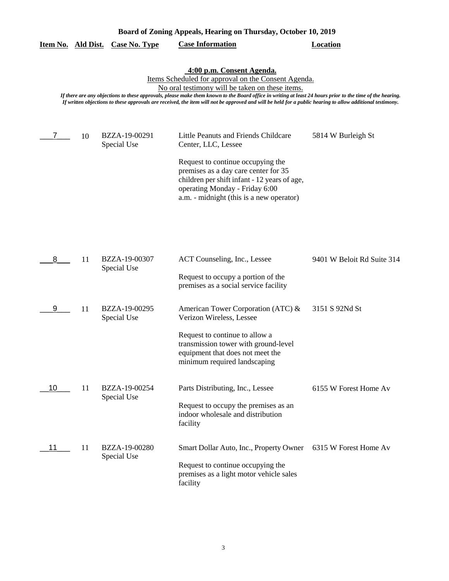| Board of Zoning Appeals, Hearing on Thursday, October 10, 2019                                                                                                                                                                                                                                                                                                                                                                                                |    |                              |                                                                                                                                                                                                                                                                        |                            |  |  |
|---------------------------------------------------------------------------------------------------------------------------------------------------------------------------------------------------------------------------------------------------------------------------------------------------------------------------------------------------------------------------------------------------------------------------------------------------------------|----|------------------------------|------------------------------------------------------------------------------------------------------------------------------------------------------------------------------------------------------------------------------------------------------------------------|----------------------------|--|--|
| Item No. Ald Dist.                                                                                                                                                                                                                                                                                                                                                                                                                                            |    | <b>Case No. Type</b>         | <b>Case Information</b>                                                                                                                                                                                                                                                | <b>Location</b>            |  |  |
| 4:00 p.m. Consent Agenda.<br>Items Scheduled for approval on the Consent Agenda.<br>No oral testimony will be taken on these items.<br>If there are any objections to these approvals, please make them known to the Board office in writing at least 24 hours prior to the time of the hearing.<br>If written objections to these approvals are received, the item will not be approved and will be held for a public hearing to allow additional testimony. |    |                              |                                                                                                                                                                                                                                                                        |                            |  |  |
| 7                                                                                                                                                                                                                                                                                                                                                                                                                                                             | 10 | BZZA-19-00291<br>Special Use | Little Peanuts and Friends Childcare<br>Center, LLC, Lessee<br>Request to continue occupying the<br>premises as a day care center for 35<br>children per shift infant - 12 years of age,<br>operating Monday - Friday 6:00<br>a.m. - midnight (this is a new operator) | 5814 W Burleigh St         |  |  |
| 8                                                                                                                                                                                                                                                                                                                                                                                                                                                             | 11 | BZZA-19-00307<br>Special Use | ACT Counseling, Inc., Lessee<br>Request to occupy a portion of the<br>premises as a social service facility                                                                                                                                                            | 9401 W Beloit Rd Suite 314 |  |  |
| 9                                                                                                                                                                                                                                                                                                                                                                                                                                                             | 11 | BZZA-19-00295<br>Special Use | American Tower Corporation (ATC) &<br>Verizon Wireless, Lessee<br>Request to continue to allow a<br>transmission tower with ground-level<br>equipment that does not meet the<br>minimum required landscaping                                                           | 3151 S 92Nd St             |  |  |
| 10                                                                                                                                                                                                                                                                                                                                                                                                                                                            | 11 | BZZA-19-00254<br>Special Use | Parts Distributing, Inc., Lessee<br>Request to occupy the premises as an<br>indoor wholesale and distribution<br>facility                                                                                                                                              | 6155 W Forest Home Av      |  |  |
| 11                                                                                                                                                                                                                                                                                                                                                                                                                                                            | 11 | BZZA-19-00280<br>Special Use | Smart Dollar Auto, Inc., Property Owner<br>Request to continue occupying the<br>premises as a light motor vehicle sales<br>facility                                                                                                                                    | 6315 W Forest Home Av      |  |  |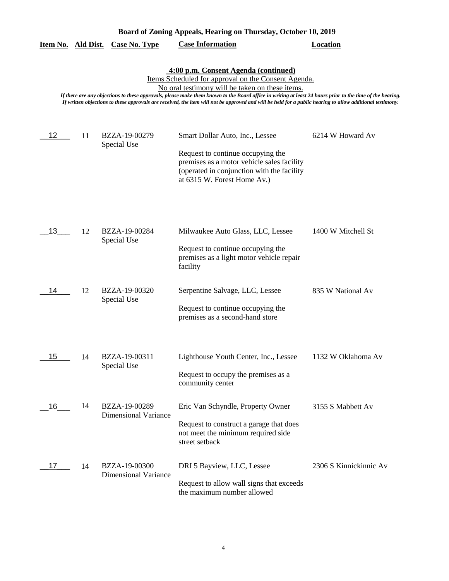| Item No. Ald Dist.                                                                                                                                                                                                                                                                                                                                                                                                                                                       |    | <b>Case No. Type</b>                         | <b>Case Information</b>                                                                                                                                                                         | <b>Location</b>        |  |  |
|--------------------------------------------------------------------------------------------------------------------------------------------------------------------------------------------------------------------------------------------------------------------------------------------------------------------------------------------------------------------------------------------------------------------------------------------------------------------------|----|----------------------------------------------|-------------------------------------------------------------------------------------------------------------------------------------------------------------------------------------------------|------------------------|--|--|
| 4:00 p.m. Consent Agenda (continued)<br>Items Scheduled for approval on the Consent Agenda.<br>No oral testimony will be taken on these items.<br>If there are any objections to these approvals, please make them known to the Board office in writing at least 24 hours prior to the time of the hearing.<br>If written objections to these approvals are received, the item will not be approved and will be held for a public hearing to allow additional testimony. |    |                                              |                                                                                                                                                                                                 |                        |  |  |
| 12                                                                                                                                                                                                                                                                                                                                                                                                                                                                       | 11 | BZZA-19-00279<br>Special Use                 | Smart Dollar Auto, Inc., Lessee<br>Request to continue occupying the<br>premises as a motor vehicle sales facility<br>(operated in conjunction with the facility<br>at 6315 W. Forest Home Av.) | 6214 W Howard Av       |  |  |
| 13                                                                                                                                                                                                                                                                                                                                                                                                                                                                       | 12 | BZZA-19-00284<br>Special Use                 | Milwaukee Auto Glass, LLC, Lessee<br>Request to continue occupying the<br>premises as a light motor vehicle repair<br>facility                                                                  | 1400 W Mitchell St     |  |  |
| 14                                                                                                                                                                                                                                                                                                                                                                                                                                                                       | 12 | BZZA-19-00320<br>Special Use                 | Serpentine Salvage, LLC, Lessee<br>Request to continue occupying the<br>premises as a second-hand store                                                                                         | 835 W National Av      |  |  |
| 15                                                                                                                                                                                                                                                                                                                                                                                                                                                                       | 14 | BZZA-19-00311<br>Special Use                 | Lighthouse Youth Center, Inc., Lessee<br>Request to occupy the premises as a<br>community center                                                                                                | 1132 W Oklahoma Av     |  |  |
| 16                                                                                                                                                                                                                                                                                                                                                                                                                                                                       | 14 | BZZA-19-00289<br><b>Dimensional Variance</b> | Eric Van Schyndle, Property Owner<br>Request to construct a garage that does<br>not meet the minimum required side<br>street setback                                                            | 3155 S Mabbett Av      |  |  |
| 17                                                                                                                                                                                                                                                                                                                                                                                                                                                                       | 14 | BZZA-19-00300<br><b>Dimensional Variance</b> | DRI 5 Bayview, LLC, Lessee<br>Request to allow wall signs that exceeds<br>the maximum number allowed                                                                                            | 2306 S Kinnickinnic Av |  |  |

**Board of Zoning Appeals, Hearing on Thursday, October 10, 2019**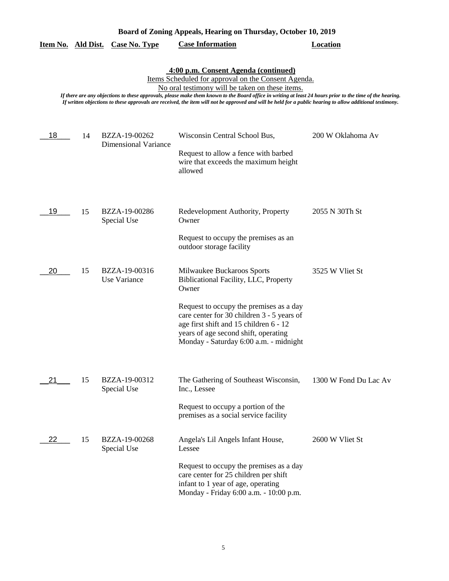|  |  | Board of Zoning Appeals, Hearing on Thursday, October 10, 2019 |  |
|--|--|----------------------------------------------------------------|--|
|  |  |                                                                |  |

|  |  | Item No. Ald Dist. Case No. Type | <b>Case Information</b> | Location |
|--|--|----------------------------------|-------------------------|----------|
|--|--|----------------------------------|-------------------------|----------|

**4:00 p.m. Consent Agenda (continued)**

Items Scheduled for approval on the Consent Agenda.

No oral testimony will be taken on these items.

*If there are any objections to these approvals, please make them known to the Board office in writing at least 24 hours prior to the time of the hearing. If written objections to these approvals are received, the item will not be approved and will be held for a public hearing to allow additional testimony.*

| 18 | 14 | BZZA-19-00262<br><b>Dimensional Variance</b> | Wisconsin Central School Bus,<br>Request to allow a fence with barbed<br>wire that exceeds the maximum height<br>allowed                                                                                                                                                                                                      | 200 W Oklahoma Av     |
|----|----|----------------------------------------------|-------------------------------------------------------------------------------------------------------------------------------------------------------------------------------------------------------------------------------------------------------------------------------------------------------------------------------|-----------------------|
| 19 | 15 | BZZA-19-00286<br>Special Use                 | Redevelopment Authority, Property<br>Owner<br>Request to occupy the premises as an                                                                                                                                                                                                                                            | 2055 N 30Th St        |
| 20 | 15 | BZZA-19-00316<br>Use Variance                | outdoor storage facility<br>Milwaukee Buckaroos Sports<br>Biblicational Facility, LLC, Property<br>Owner<br>Request to occupy the premises as a day<br>care center for 30 children 3 - 5 years of<br>age first shift and 15 children 6 - 12<br>years of age second shift, operating<br>Monday - Saturday 6:00 a.m. - midnight | 3525 W Vliet St       |
| 21 | 15 | BZZA-19-00312<br>Special Use                 | The Gathering of Southeast Wisconsin,<br>Inc., Lessee<br>Request to occupy a portion of the<br>premises as a social service facility                                                                                                                                                                                          | 1300 W Fond Du Lac Av |
| 22 | 15 | BZZA-19-00268<br>Special Use                 | Angela's Lil Angels Infant House,<br>Lessee<br>Request to occupy the premises as a day<br>care center for 25 children per shift<br>infant to 1 year of age, operating<br>Monday - Friday 6:00 a.m. - 10:00 p.m.                                                                                                               | 2600 W Vliet St       |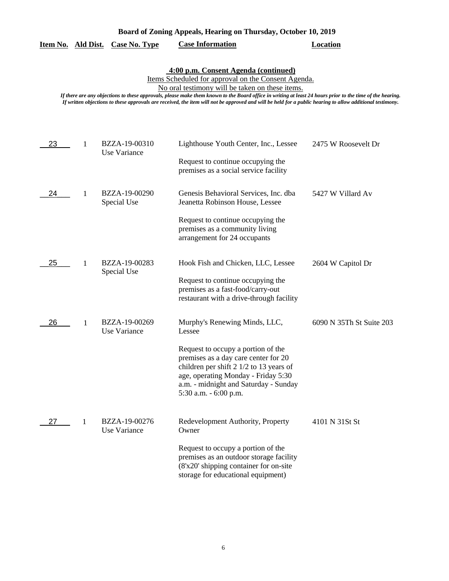|  |  | Board of Zoning Appeals, Hearing on Thursday, October 10, 2019 |  |  |
|--|--|----------------------------------------------------------------|--|--|
|  |  |                                                                |  |  |

|  |  | Item No. Ald Dist. Case No. Type | <b>Case Information</b> | Location |
|--|--|----------------------------------|-------------------------|----------|
|--|--|----------------------------------|-------------------------|----------|

### **4:00 p.m. Consent Agenda (continued)**

Items Scheduled for approval on the Consent Agenda.

No oral testimony will be taken on these items.

*If there are any objections to these approvals, please make them known to the Board office in writing at least 24 hours prior to the time of the hearing. If written objections to these approvals are received, the item will not be approved and will be held for a public hearing to allow additional testimony.*

| 23 | $\mathbf{1}$ | BZZA-19-00310<br>Use Variance | Lighthouse Youth Center, Inc., Lessee                                                                                                                                                                                                    | 2475 W Roosevelt Dr      |
|----|--------------|-------------------------------|------------------------------------------------------------------------------------------------------------------------------------------------------------------------------------------------------------------------------------------|--------------------------|
|    |              |                               | Request to continue occupying the<br>premises as a social service facility                                                                                                                                                               |                          |
| 24 | 1            | BZZA-19-00290<br>Special Use  | Genesis Behavioral Services, Inc. dba<br>Jeanetta Robinson House, Lessee                                                                                                                                                                 | 5427 W Villard Av        |
|    |              |                               | Request to continue occupying the<br>premises as a community living<br>arrangement for 24 occupants                                                                                                                                      |                          |
| 25 | 1            | BZZA-19-00283<br>Special Use  | Hook Fish and Chicken, LLC, Lessee                                                                                                                                                                                                       | 2604 W Capitol Dr        |
|    |              |                               | Request to continue occupying the<br>premises as a fast-food/carry-out<br>restaurant with a drive-through facility                                                                                                                       |                          |
| 26 | 1            | BZZA-19-00269<br>Use Variance | Murphy's Renewing Minds, LLC,<br>Lessee                                                                                                                                                                                                  | 6090 N 35Th St Suite 203 |
|    |              |                               | Request to occupy a portion of the<br>premises as a day care center for 20<br>children per shift $2 \frac{1}{2}$ to 13 years of<br>age, operating Monday - Friday 5:30<br>a.m. - midnight and Saturday - Sunday<br>5:30 a.m. - 6:00 p.m. |                          |
| 27 | $\mathbf{1}$ | BZZA-19-00276<br>Use Variance | Redevelopment Authority, Property<br>Owner                                                                                                                                                                                               | 4101 N 31St St           |
|    |              |                               | Request to occupy a portion of the<br>premises as an outdoor storage facility<br>(8'x20' shipping container for on-site<br>storage for educational equipment)                                                                            |                          |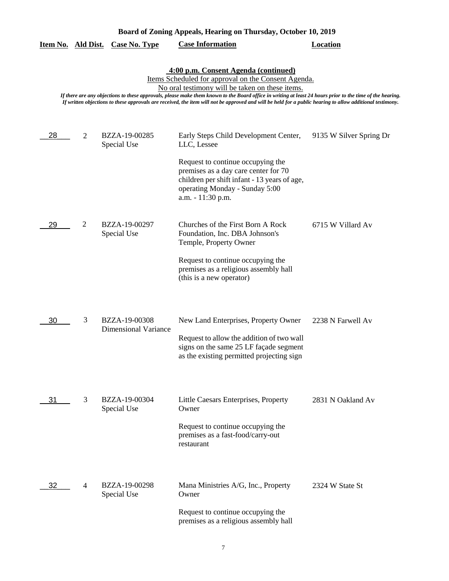| Board of Zoning Appeals, Hearing on Thursday, October 10, 2019                                                                                                                                                                                                                                                                                                                                                                                                           |                |                                              |                                                                                                                                                                                                                                          |                         |  |  |
|--------------------------------------------------------------------------------------------------------------------------------------------------------------------------------------------------------------------------------------------------------------------------------------------------------------------------------------------------------------------------------------------------------------------------------------------------------------------------|----------------|----------------------------------------------|------------------------------------------------------------------------------------------------------------------------------------------------------------------------------------------------------------------------------------------|-------------------------|--|--|
| Item No. Ald Dist.                                                                                                                                                                                                                                                                                                                                                                                                                                                       |                | <b>Case No. Type</b>                         | <b>Case Information</b>                                                                                                                                                                                                                  | <b>Location</b>         |  |  |
| 4:00 p.m. Consent Agenda (continued)<br>Items Scheduled for approval on the Consent Agenda.<br>No oral testimony will be taken on these items.<br>If there are any objections to these approvals, please make them known to the Board office in writing at least 24 hours prior to the time of the hearing.<br>If written objections to these approvals are received, the item will not be approved and will be held for a public hearing to allow additional testimony. |                |                                              |                                                                                                                                                                                                                                          |                         |  |  |
| 28                                                                                                                                                                                                                                                                                                                                                                                                                                                                       | $\overline{2}$ | BZZA-19-00285<br>Special Use                 | Early Steps Child Development Center,<br>LLC, Lessee<br>Request to continue occupying the<br>premises as a day care center for 70<br>children per shift infant - 13 years of age,<br>operating Monday - Sunday 5:00<br>a.m. - 11:30 p.m. | 9135 W Silver Spring Dr |  |  |
| 29                                                                                                                                                                                                                                                                                                                                                                                                                                                                       | 2              | BZZA-19-00297<br>Special Use                 | Churches of the First Born A Rock<br>Foundation, Inc. DBA Johnson's<br>Temple, Property Owner<br>Request to continue occupying the<br>premises as a religious assembly hall<br>(this is a new operator)                                  | 6715 W Villard Av       |  |  |
| 30                                                                                                                                                                                                                                                                                                                                                                                                                                                                       | 3              | BZZA-19-00308<br><b>Dimensional Variance</b> | New Land Enterprises, Property Owner<br>Request to allow the addition of two wall<br>signs on the same 25 LF façade segment<br>as the existing permitted projecting sign                                                                 | 2238 N Farwell Av       |  |  |
| 31                                                                                                                                                                                                                                                                                                                                                                                                                                                                       | 3              | BZZA-19-00304<br>Special Use                 | Little Caesars Enterprises, Property<br>Owner<br>Request to continue occupying the<br>premises as a fast-food/carry-out<br>restaurant                                                                                                    | 2831 N Oakland Av       |  |  |
| 32                                                                                                                                                                                                                                                                                                                                                                                                                                                                       | 4              | BZZA-19-00298<br>Special Use                 | Mana Ministries A/G, Inc., Property<br>Owner<br>Request to continue occupying the<br>premises as a religious assembly hall                                                                                                               | 2324 W State St         |  |  |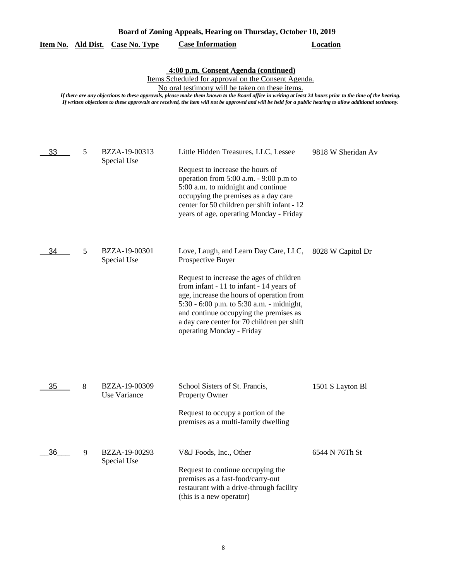| Item No. Ald Dist. |   | <b>Case No. Type</b>          | $\mu$ , $\mu$<br><b>Case Information</b>                                                                                                                                                                                                                                                                                                                                                                                                                                 | <b>Location</b>    |
|--------------------|---|-------------------------------|--------------------------------------------------------------------------------------------------------------------------------------------------------------------------------------------------------------------------------------------------------------------------------------------------------------------------------------------------------------------------------------------------------------------------------------------------------------------------|--------------------|
|                    |   |                               | 4:00 p.m. Consent Agenda (continued)<br>Items Scheduled for approval on the Consent Agenda.<br>No oral testimony will be taken on these items.<br>If there are any objections to these approvals, please make them known to the Board office in writing at least 24 hours prior to the time of the hearing.<br>If written objections to these approvals are received, the item will not be approved and will be held for a public hearing to allow additional testimony. |                    |
| 33                 | 5 | BZZA-19-00313<br>Special Use  | Little Hidden Treasures, LLC, Lessee<br>Request to increase the hours of<br>operation from 5:00 a.m. - 9:00 p.m to<br>5:00 a.m. to midnight and continue<br>occupying the premises as a day care<br>center for 50 children per shift infant - 12<br>years of age, operating Monday - Friday                                                                                                                                                                              | 9818 W Sheridan Av |
| 34                 | 5 | BZZA-19-00301<br>Special Use  | Love, Laugh, and Learn Day Care, LLC,<br>Prospective Buyer<br>Request to increase the ages of children<br>from infant - 11 to infant - 14 years of<br>age, increase the hours of operation from<br>5:30 - 6:00 p.m. to 5:30 a.m. - midnight,<br>and continue occupying the premises as<br>a day care center for 70 children per shift<br>operating Monday - Friday                                                                                                       | 8028 W Capitol Dr  |
| 35                 | 8 | BZZA-19-00309<br>Use Variance | School Sisters of St. Francis,<br><b>Property Owner</b><br>Request to occupy a portion of the<br>premises as a multi-family dwelling                                                                                                                                                                                                                                                                                                                                     | 1501 S Layton Bl   |
| 36                 | 9 | BZZA-19-00293<br>Special Use  | V&J Foods, Inc., Other<br>Request to continue occupying the<br>premises as a fast-food/carry-out<br>restaurant with a drive-through facility<br>(this is a new operator)                                                                                                                                                                                                                                                                                                 | 6544 N 76Th St     |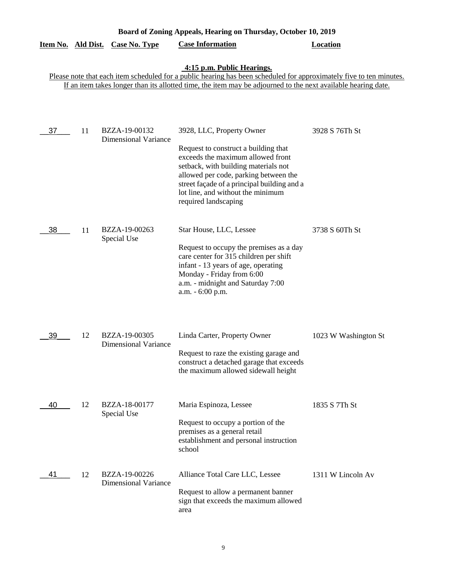|                           | Board of Zoning Appeals, Hearing on Thursday, October 10, 2019 |                                              |                                                                                                                                                                                                                                |                      |  |  |
|---------------------------|----------------------------------------------------------------|----------------------------------------------|--------------------------------------------------------------------------------------------------------------------------------------------------------------------------------------------------------------------------------|----------------------|--|--|
| <u>Item No. Ald Dist.</u> |                                                                | <b>Case No. Type</b>                         | <b>Case Information</b>                                                                                                                                                                                                        | <b>Location</b>      |  |  |
|                           |                                                                |                                              | 4:15 p.m. Public Hearings.<br>Please note that each item scheduled for a public hearing has been scheduled for approximately five to ten minutes.                                                                              |                      |  |  |
|                           |                                                                |                                              | If an item takes longer than its allotted time, the item may be adjourned to the next available hearing date.                                                                                                                  |                      |  |  |
|                           |                                                                |                                              |                                                                                                                                                                                                                                |                      |  |  |
| 37                        | 11                                                             | BZZA-19-00132<br><b>Dimensional Variance</b> | 3928, LLC, Property Owner<br>Request to construct a building that                                                                                                                                                              | 3928 S 76Th St       |  |  |
|                           |                                                                |                                              | exceeds the maximum allowed front<br>setback, with building materials not<br>allowed per code, parking between the<br>street façade of a principal building and a<br>lot line, and without the minimum<br>required landscaping |                      |  |  |
| 38                        | 11                                                             | BZZA-19-00263<br>Special Use                 | Star House, LLC, Lessee                                                                                                                                                                                                        | 3738 S 60Th St       |  |  |
|                           |                                                                |                                              | Request to occupy the premises as a day<br>care center for 315 children per shift<br>infant - 13 years of age, operating<br>Monday - Friday from 6:00<br>a.m. - midnight and Saturday 7:00<br>a.m. - 6:00 p.m.                 |                      |  |  |
| 39                        | 12                                                             | BZZA-19-00305<br><b>Dimensional Variance</b> | Linda Carter, Property Owner<br>Request to raze the existing garage and                                                                                                                                                        | 1023 W Washington St |  |  |
|                           |                                                                |                                              | construct a detached garage that exceeds<br>the maximum allowed sidewall height                                                                                                                                                |                      |  |  |
| 40                        | 12                                                             | BZZA-18-00177<br>Special Use                 | Maria Espinoza, Lessee                                                                                                                                                                                                         | 1835 S 7Th St        |  |  |
|                           |                                                                |                                              | Request to occupy a portion of the<br>premises as a general retail<br>establishment and personal instruction<br>school                                                                                                         |                      |  |  |
| 41                        | 12                                                             | BZZA-19-00226<br><b>Dimensional Variance</b> | Alliance Total Care LLC, Lessee                                                                                                                                                                                                | 1311 W Lincoln Av    |  |  |
|                           |                                                                |                                              | Request to allow a permanent banner<br>sign that exceeds the maximum allowed<br>area                                                                                                                                           |                      |  |  |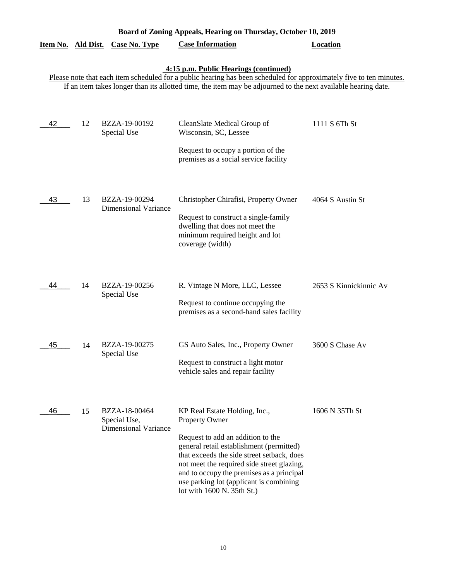|                           | Board of Zoning Appeals, Hearing on Thursday, October 10, 2019 |                                                              |                                                                                                                                                                                                                                                                                                                                                    |                        |  |  |
|---------------------------|----------------------------------------------------------------|--------------------------------------------------------------|----------------------------------------------------------------------------------------------------------------------------------------------------------------------------------------------------------------------------------------------------------------------------------------------------------------------------------------------------|------------------------|--|--|
| <u>Item No. Ald Dist.</u> |                                                                | <b>Case No. Type</b>                                         | <b>Case Information</b>                                                                                                                                                                                                                                                                                                                            | <b>Location</b>        |  |  |
|                           |                                                                |                                                              | 4:15 p.m. Public Hearings (continued)<br>Please note that each item scheduled for a public hearing has been scheduled for approximately five to ten minutes.<br>If an item takes longer than its allotted time, the item may be adjourned to the next available hearing date.                                                                      |                        |  |  |
| 42                        | 12                                                             | BZZA-19-00192<br>Special Use                                 | CleanSlate Medical Group of<br>Wisconsin, SC, Lessee<br>Request to occupy a portion of the<br>premises as a social service facility                                                                                                                                                                                                                | 1111 S 6Th St          |  |  |
| 43                        | 13                                                             | BZZA-19-00294<br><b>Dimensional Variance</b>                 | Christopher Chirafisi, Property Owner<br>Request to construct a single-family<br>dwelling that does not meet the<br>minimum required height and lot<br>coverage (width)                                                                                                                                                                            | 4064 S Austin St       |  |  |
| 44                        | 14                                                             | BZZA-19-00256<br>Special Use                                 | R. Vintage N More, LLC, Lessee<br>Request to continue occupying the<br>premises as a second-hand sales facility                                                                                                                                                                                                                                    | 2653 S Kinnickinnic Av |  |  |
| 45                        | 14                                                             | BZZA-19-00275<br>Special Use                                 | GS Auto Sales, Inc., Property Owner<br>Request to construct a light motor<br>vehicle sales and repair facility                                                                                                                                                                                                                                     | 3600 S Chase Av        |  |  |
| 46                        | 15                                                             | BZZA-18-00464<br>Special Use,<br><b>Dimensional Variance</b> | KP Real Estate Holding, Inc.,<br>Property Owner<br>Request to add an addition to the<br>general retail establishment (permitted)<br>that exceeds the side street setback, does<br>not meet the required side street glazing,<br>and to occupy the premises as a principal<br>use parking lot (applicant is combining<br>lot with 1600 N. 35th St.) | 1606 N 35Th St         |  |  |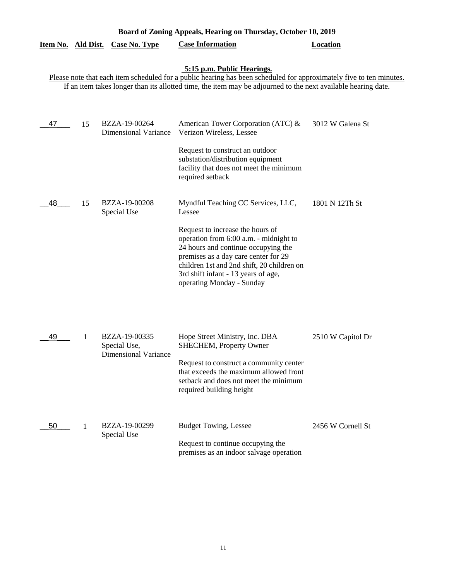| Board of Zoning Appeals, Hearing on Thursday, October 10, 2019                                                                                                                                                                                                     |    |                                                              |                                                                                                                                                                                                                                                                                                                             |                   |  |  |
|--------------------------------------------------------------------------------------------------------------------------------------------------------------------------------------------------------------------------------------------------------------------|----|--------------------------------------------------------------|-----------------------------------------------------------------------------------------------------------------------------------------------------------------------------------------------------------------------------------------------------------------------------------------------------------------------------|-------------------|--|--|
| Item No. Ald Dist.                                                                                                                                                                                                                                                 |    | <b>Case No. Type</b>                                         | <b>Case Information</b>                                                                                                                                                                                                                                                                                                     | <b>Location</b>   |  |  |
| 5:15 p.m. Public Hearings.<br>Please note that each item scheduled for a public hearing has been scheduled for approximately five to ten minutes.<br>If an item takes longer than its allotted time, the item may be adjourned to the next available hearing date. |    |                                                              |                                                                                                                                                                                                                                                                                                                             |                   |  |  |
| 47                                                                                                                                                                                                                                                                 | 15 | BZZA-19-00264<br><b>Dimensional Variance</b>                 | American Tower Corporation (ATC) &<br>Verizon Wireless, Lessee<br>Request to construct an outdoor<br>substation/distribution equipment<br>facility that does not meet the minimum<br>required setback                                                                                                                       | 3012 W Galena St  |  |  |
| 48                                                                                                                                                                                                                                                                 | 15 | BZZA-19-00208<br>Special Use                                 | Myndful Teaching CC Services, LLC,<br>Lessee<br>Request to increase the hours of<br>operation from 6:00 a.m. - midnight to<br>24 hours and continue occupying the<br>premises as a day care center for 29<br>children 1st and 2nd shift, 20 children on<br>3rd shift infant - 13 years of age,<br>operating Monday - Sunday | 1801 N 12Th St    |  |  |
| 49                                                                                                                                                                                                                                                                 | 1  | BZZA-19-00335<br>Special Use,<br><b>Dimensional Variance</b> | Hope Street Ministry, Inc. DBA<br><b>SHECHEM, Property Owner</b><br>Request to construct a community center<br>that exceeds the maximum allowed front<br>setback and does not meet the minimum<br>required building height                                                                                                  | 2510 W Capitol Dr |  |  |
| 50                                                                                                                                                                                                                                                                 | 1  | BZZA-19-00299<br>Special Use                                 | <b>Budget Towing, Lessee</b><br>Request to continue occupying the<br>premises as an indoor salvage operation                                                                                                                                                                                                                | 2456 W Cornell St |  |  |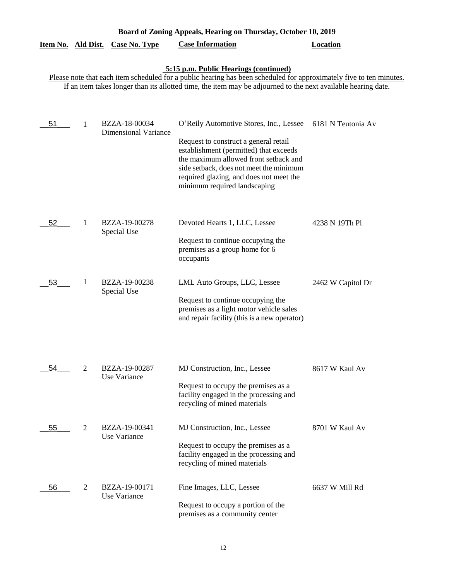| Board of Zoning Appeals, Hearing on Thursday, October 10, 2019 |                |                               |                                                                                                                                                                                                                                                |                    |  |
|----------------------------------------------------------------|----------------|-------------------------------|------------------------------------------------------------------------------------------------------------------------------------------------------------------------------------------------------------------------------------------------|--------------------|--|
| Item No. Ald Dist.                                             |                | <b>Case No. Type</b>          | <b>Case Information</b>                                                                                                                                                                                                                        | <b>Location</b>    |  |
|                                                                |                |                               | 5:15 p.m. Public Hearings (continued)<br>Please note that each item scheduled for a public hearing has been scheduled for approximately five to ten minutes.                                                                                   |                    |  |
|                                                                |                |                               | If an item takes longer than its allotted time, the item may be adjourned to the next available hearing date.                                                                                                                                  |                    |  |
| 51                                                             | 1              | BZZA-18-00034                 | O'Reily Automotive Stores, Inc., Lessee                                                                                                                                                                                                        | 6181 N Teutonia Av |  |
|                                                                |                | <b>Dimensional Variance</b>   | Request to construct a general retail<br>establishment (permitted) that exceeds<br>the maximum allowed front setback and<br>side setback, does not meet the minimum<br>required glazing, and does not meet the<br>minimum required landscaping |                    |  |
| 52                                                             | 1              | BZZA-19-00278<br>Special Use  | Devoted Hearts 1, LLC, Lessee<br>Request to continue occupying the<br>premises as a group home for 6<br>occupants                                                                                                                              | 4238 N 19Th Pl     |  |
| 53                                                             | 1              | BZZA-19-00238<br>Special Use  | LML Auto Groups, LLC, Lessee<br>Request to continue occupying the<br>premises as a light motor vehicle sales<br>and repair facility (this is a new operator)                                                                                   | 2462 W Capitol Dr  |  |
| 54                                                             | 2              | BZZA-19-00287<br>Use Variance | MJ Construction, Inc., Lessee<br>Request to occupy the premises as a<br>facility engaged in the processing and<br>recycling of mined materials                                                                                                 | 8617 W Kaul Av     |  |
| 55                                                             | $\mathfrak{2}$ | BZZA-19-00341<br>Use Variance | MJ Construction, Inc., Lessee<br>Request to occupy the premises as a<br>facility engaged in the processing and<br>recycling of mined materials                                                                                                 | 8701 W Kaul Av     |  |
| 56                                                             | 2              | BZZA-19-00171<br>Use Variance | Fine Images, LLC, Lessee<br>Request to occupy a portion of the<br>premises as a community center                                                                                                                                               | 6637 W Mill Rd     |  |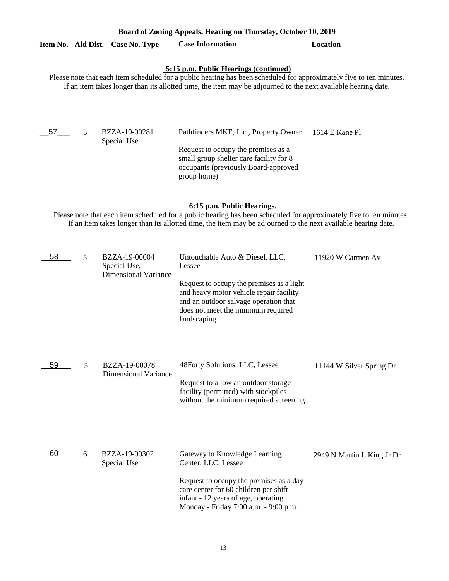# **Board of Zoning Appeals, Hearing on Thursday, October 10, 2019 Item No. Ald Dist. Case No. Type Case Information Location**

# **5:15 p.m. Public Hearings (continued)**

Please note that each item scheduled for a public hearing has been scheduled for approximately five to ten minutes. If an item takes longer than its allotted time, the item may be adjourned to the next available hearing date.

BZZA-19-00281 Pathfinders MKE, Inc., Property Owner 1614 E Kane Pl Special Use \_\_57\_\_\_ 3

> Request to occupy the premises as a small group shelter care facility for 8 occupants (previously Board-approved group home)

### **6:15 p.m. Public Hearings.**

Please note that each item scheduled for a public hearing has been scheduled for approximately five to ten minutes. If an item takes longer than its allotted time, the item may be adjourned to the next available hearing date.

| 58 | 5 | BZZA-19-00004<br>Special Use,<br><b>Dimensional Variance</b> | Untouchable Auto & Diesel, LLC,<br>Lessee<br>Request to occupy the premises as a light<br>and heavy motor vehicle repair facility<br>and an outdoor salvage operation that<br>does not meet the minimum required<br>landscaping | 11920 W Carmen Av          |
|----|---|--------------------------------------------------------------|---------------------------------------------------------------------------------------------------------------------------------------------------------------------------------------------------------------------------------|----------------------------|
| 59 | 5 | BZZA-19-00078<br><b>Dimensional Variance</b>                 | 48Forty Solutions, LLC, Lessee<br>Request to allow an outdoor storage<br>facility (permitted) with stockpiles<br>without the minimum required screening                                                                         | 11144 W Silver Spring Dr   |
| 60 | 6 | BZZA-19-00302<br>Special Use                                 | Gateway to Knowledge Learning<br>Center, LLC, Lessee<br>Request to occupy the premises as a day<br>care center for 60 children per shift<br>infant - 12 years of age, operating<br>Monday - Friday 7:00 a.m. - 9:00 p.m.        | 2949 N Martin L King Jr Dr |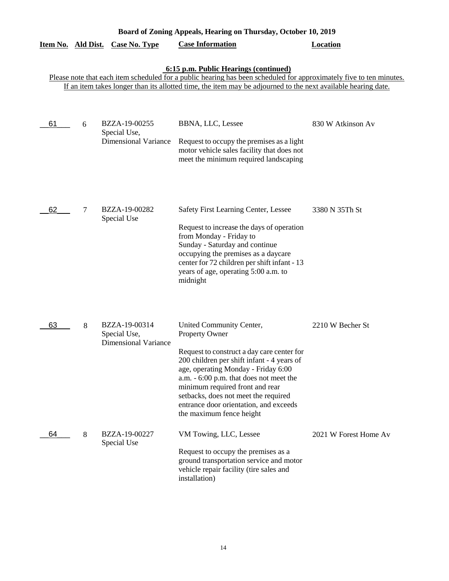| Board of Zoning Appeals, Hearing on Thursday, October 10, 2019                                                                                                                                                                                                                |   |                                                              |                                                                                                                                                                                                                                                                                                                                                                           |                       |  |  |  |
|-------------------------------------------------------------------------------------------------------------------------------------------------------------------------------------------------------------------------------------------------------------------------------|---|--------------------------------------------------------------|---------------------------------------------------------------------------------------------------------------------------------------------------------------------------------------------------------------------------------------------------------------------------------------------------------------------------------------------------------------------------|-----------------------|--|--|--|
| Item No. Ald Dist.                                                                                                                                                                                                                                                            |   | <b>Case No. Type</b>                                         | <b>Case Information</b>                                                                                                                                                                                                                                                                                                                                                   | <b>Location</b>       |  |  |  |
| 6:15 p.m. Public Hearings (continued)<br>Please note that each item scheduled for a public hearing has been scheduled for approximately five to ten minutes.<br>If an item takes longer than its allotted time, the item may be adjourned to the next available hearing date. |   |                                                              |                                                                                                                                                                                                                                                                                                                                                                           |                       |  |  |  |
| 61                                                                                                                                                                                                                                                                            | 6 | BZZA-19-00255<br>Special Use,<br><b>Dimensional Variance</b> | BBNA, LLC, Lessee<br>Request to occupy the premises as a light<br>motor vehicle sales facility that does not<br>meet the minimum required landscaping                                                                                                                                                                                                                     | 830 W Atkinson Av     |  |  |  |
| 62                                                                                                                                                                                                                                                                            | 7 | BZZA-19-00282<br>Special Use                                 | Safety First Learning Center, Lessee<br>Request to increase the days of operation<br>from Monday - Friday to<br>Sunday - Saturday and continue<br>occupying the premises as a daycare<br>center for 72 children per shift infant - 13<br>years of age, operating 5:00 a.m. to<br>midnight                                                                                 | 3380 N 35Th St        |  |  |  |
| 63                                                                                                                                                                                                                                                                            | 8 | BZZA-19-00314<br>Special Use,<br><b>Dimensional Variance</b> | United Community Center,<br>Property Owner<br>Request to construct a day care center for<br>200 children per shift infant - 4 years of<br>age, operating Monday - Friday 6:00<br>a.m. - 6:00 p.m. that does not meet the<br>minimum required front and rear<br>setbacks, does not meet the required<br>entrance door orientation, and exceeds<br>the maximum fence height | 2210 W Becher St      |  |  |  |
| 64                                                                                                                                                                                                                                                                            | 8 | BZZA-19-00227<br>Special Use                                 | VM Towing, LLC, Lessee<br>Request to occupy the premises as a<br>ground transportation service and motor<br>vehicle repair facility (tire sales and<br>installation)                                                                                                                                                                                                      | 2021 W Forest Home Av |  |  |  |